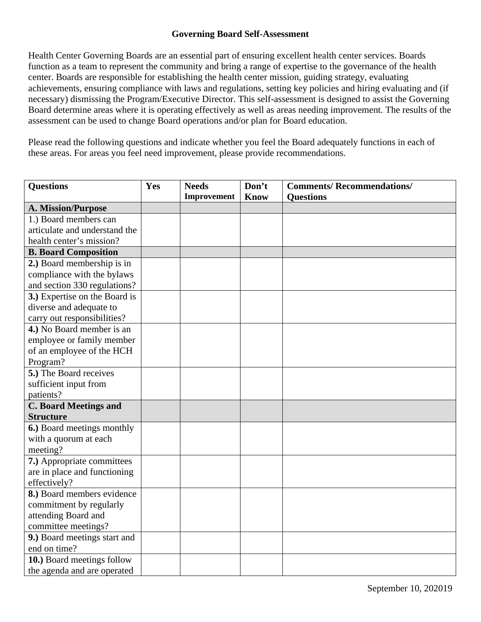## **Governing Board Self-Assessment**

Health Center Governing Boards are an essential part of ensuring excellent health center services. Boards function as a team to represent the community and bring a range of expertise to the governance of the health center. Boards are responsible for establishing the health center mission, guiding strategy, evaluating achievements, ensuring compliance with laws and regulations, setting key policies and hiring evaluating and (if necessary) dismissing the Program/Executive Director. This self-assessment is designed to assist the Governing Board determine areas where it is operating effectively as well as areas needing improvement. The results of the assessment can be used to change Board operations and/or plan for Board education.

Please read the following questions and indicate whether you feel the Board adequately functions in each of these areas. For areas you feel need improvement, please provide recommendations.

| <b>Questions</b>              | Yes | <b>Needs</b> | Don't       | <b>Comments/Recommendations/</b> |
|-------------------------------|-----|--------------|-------------|----------------------------------|
|                               |     | Improvement  | <b>Know</b> | <b>Ouestions</b>                 |
| A. Mission/Purpose            |     |              |             |                                  |
| 1.) Board members can         |     |              |             |                                  |
| articulate and understand the |     |              |             |                                  |
| health center's mission?      |     |              |             |                                  |
| <b>B. Board Composition</b>   |     |              |             |                                  |
| 2.) Board membership is in    |     |              |             |                                  |
| compliance with the bylaws    |     |              |             |                                  |
| and section 330 regulations?  |     |              |             |                                  |
| 3.) Expertise on the Board is |     |              |             |                                  |
| diverse and adequate to       |     |              |             |                                  |
| carry out responsibilities?   |     |              |             |                                  |
| 4.) No Board member is an     |     |              |             |                                  |
| employee or family member     |     |              |             |                                  |
| of an employee of the HCH     |     |              |             |                                  |
| Program?                      |     |              |             |                                  |
| 5.) The Board receives        |     |              |             |                                  |
| sufficient input from         |     |              |             |                                  |
| patients?                     |     |              |             |                                  |
| <b>C. Board Meetings and</b>  |     |              |             |                                  |
| <b>Structure</b>              |     |              |             |                                  |
| 6.) Board meetings monthly    |     |              |             |                                  |
| with a quorum at each         |     |              |             |                                  |
| meeting?                      |     |              |             |                                  |
| 7.) Appropriate committees    |     |              |             |                                  |
| are in place and functioning  |     |              |             |                                  |
| effectively?                  |     |              |             |                                  |
| 8.) Board members evidence    |     |              |             |                                  |
| commitment by regularly       |     |              |             |                                  |
| attending Board and           |     |              |             |                                  |
| committee meetings?           |     |              |             |                                  |
| 9.) Board meetings start and  |     |              |             |                                  |
| end on time?                  |     |              |             |                                  |
| 10.) Board meetings follow    |     |              |             |                                  |
| the agenda and are operated   |     |              |             |                                  |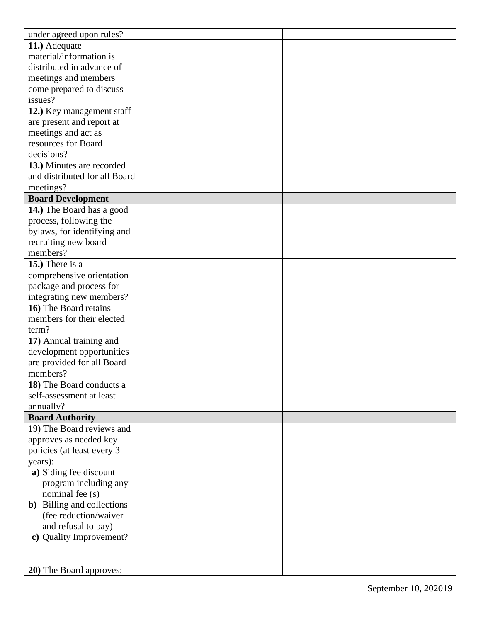| under agreed upon rules?           |  |  |
|------------------------------------|--|--|
| 11.) Adequate                      |  |  |
| material/information is            |  |  |
| distributed in advance of          |  |  |
| meetings and members               |  |  |
| come prepared to discuss           |  |  |
| issues?                            |  |  |
| 12.) Key management staff          |  |  |
| are present and report at          |  |  |
| meetings and act as                |  |  |
| resources for Board                |  |  |
| decisions?                         |  |  |
| 13.) Minutes are recorded          |  |  |
| and distributed for all Board      |  |  |
| meetings?                          |  |  |
| <b>Board Development</b>           |  |  |
| 14.) The Board has a good          |  |  |
| process, following the             |  |  |
| bylaws, for identifying and        |  |  |
| recruiting new board               |  |  |
| members?                           |  |  |
| 15.) There is a                    |  |  |
| comprehensive orientation          |  |  |
| package and process for            |  |  |
| integrating new members?           |  |  |
| 16) The Board retains              |  |  |
| members for their elected          |  |  |
| term?                              |  |  |
| 17) Annual training and            |  |  |
| development opportunities          |  |  |
| are provided for all Board         |  |  |
| members?                           |  |  |
| 18) The Board conducts a           |  |  |
| self-assessment at least           |  |  |
| annually?                          |  |  |
| <b>Board Authority</b>             |  |  |
| 19) The Board reviews and          |  |  |
| approves as needed key             |  |  |
| policies (at least every 3         |  |  |
| years):                            |  |  |
| a) Siding fee discount             |  |  |
| program including any              |  |  |
| nominal fee (s)                    |  |  |
| <b>b</b> ) Billing and collections |  |  |
| (fee reduction/waiver              |  |  |
| and refusal to pay)                |  |  |
| c) Quality Improvement?            |  |  |
|                                    |  |  |
|                                    |  |  |
| <b>20</b> ) The Board approves:    |  |  |